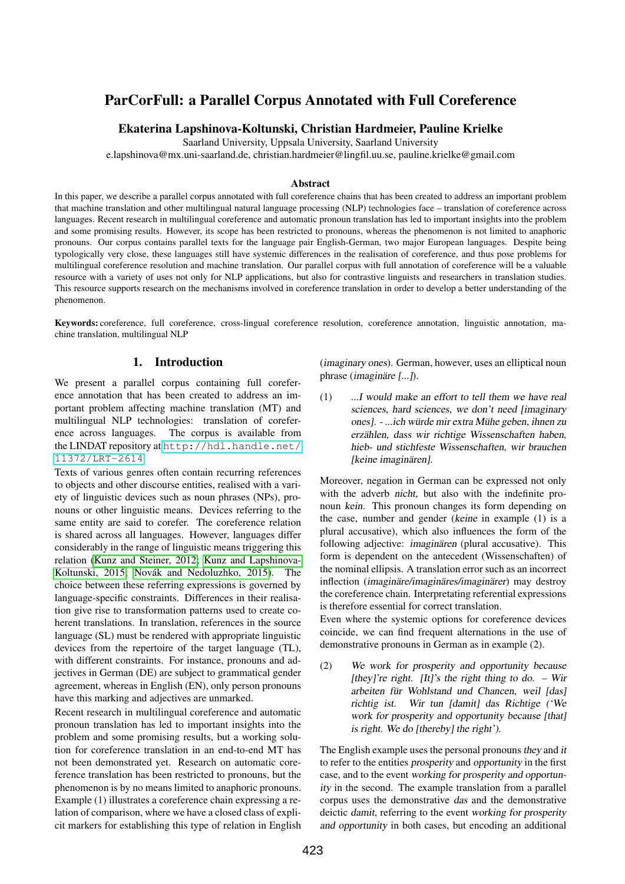# ParCorFull: a Parallel Corpus Annotated with Full Coreference

## Ekaterina Lapshinova-Koltunski, Christian Hardmeier, Pauline Krielke

Saarland University, Uppsala University, Saarland University

e.lapshinova@mx.uni-saarland.de, christian.hardmeier@lingfil.uu.se, pauline.krielke@gmail.com

#### Abstract

In this paper, we describe a parallel corpus annotated with full coreference chains that has been created to address an important problem that machine translation and other multilingual natural language processing (NLP) technologies face – translation of coreference across languages. Recent research in multilingual coreference and automatic pronoun translation has led to important insights into the problem and some promising results. However, its scope has been restricted to pronouns, whereas the phenomenon is not limited to anaphoric pronouns. Our corpus contains parallel texts for the language pair English-German, two major European languages. Despite being typologically very close, these languages still have systemic differences in the realisation of coreference, and thus pose problems for multilingual coreference resolution and machine translation. Our parallel corpus with full annotation of coreference will be a valuable resource with a variety of uses not only for NLP applications, but also for contrastive linguists and researchers in translation studies. This resource supports research on the mechanisms involved in coreference translation in order to develop a better understanding of the phenomenon.

Keywords: coreference, full coreference, cross-lingual coreference resolution, coreference annotation, linguistic annotation, machine translation, multilingual NLP

# 1. Introduction

We present a parallel corpus containing full coreference annotation that has been created to address an important problem affecting machine translation (MT) and multilingual NLP technologies: translation of coreference across languages. The corpus is available from the LINDAT repository at [http://hdl.handle.net/](http://hdl.handle.net/11372/LRT-2614) [11372/LRT-2614](http://hdl.handle.net/11372/LRT-2614).

Texts of various genres often contain recurring references to objects and other discourse entities, realised with a variety of linguistic devices such as noun phrases (NPs), pronouns or other linguistic means. Devices referring to the same entity are said to corefer. The coreference relation is shared across all languages. However, languages differ considerably in the range of linguistic means triggering this relation [\(Kunz and Steiner, 2012;](#page-5-0) [Kunz and Lapshinova-](#page-5-1)[Koltunski, 2015;](#page-5-1) Novák and Nedoluzhko, 2015). The choice between these referring expressions is governed by language-specific constraints. Differences in their realisation give rise to transformation patterns used to create coherent translations. In translation, references in the source language (SL) must be rendered with appropriate linguistic devices from the repertoire of the target language (TL), with different constraints. For instance, pronouns and adjectives in German (DE) are subject to grammatical gender agreement, whereas in English (EN), only person pronouns have this marking and adjectives are unmarked.

Recent research in multilingual coreference and automatic pronoun translation has led to important insights into the problem and some promising results, but a working solution for coreference translation in an end-to-end MT has not been demonstrated yet. Research on automatic coreference translation has been restricted to pronouns, but the phenomenon is by no means limited to anaphoric pronouns. Example (1) illustrates a coreference chain expressing a relation of comparison, where we have a closed class of explicit markers for establishing this type of relation in English (imaginary ones). German, however, uses an elliptical noun phrase (*imaginare*  $[...]$ ).

<span id="page-0-0"></span>(1) ...I would make an effort to tell them we have real sciences, hard sciences, we don't need *limaginary* ones]. - ...ich würde mir extra Mühe geben, ihnen zu erzählen, dass wir richtige Wissenschaften haben, hieb- und stichfeste Wissenschaften, wir brauchen [keine imaginären].

Moreover, negation in German can be expressed not only with the adverb nicht, but also with the indefinite pronoun kein. This pronoun changes its form depending on the case, number and gender (keine in example (1) is a plural accusative), which also influences the form of the following adjective: *imaginären* (plural accusative). This form is dependent on the antecedent (Wissenschaften) of the nominal ellipsis. A translation error such as an incorrect inflection (*imaginare*/*imaginares*/*imaginarer*) may destroy the coreference chain. Interpretating referential expressions is therefore essential for correct translation.

Even where the systemic options for coreference devices coincide, we can find frequent alternations in the use of demonstrative pronouns in German as in example (2).

(2) We work for prosperity and opportunity because [they]'re right. [It]'s the right thing to do. – Wir arbeiten für Wohlstand und Chancen, weil [das] richtig ist. Wir tun [damit] das Richtige ('We work for prosperity and opportunity because [that] is right. We do [thereby] the right').

The English example uses the personal pronouns they and it to refer to the entities prosperity and opportunity in the first case, and to the event working for prosperity and opportunity in the second. The example translation from a parallel corpus uses the demonstrative das and the demonstrative deictic damit, referring to the event working for prosperity and opportunity in both cases, but encoding an additional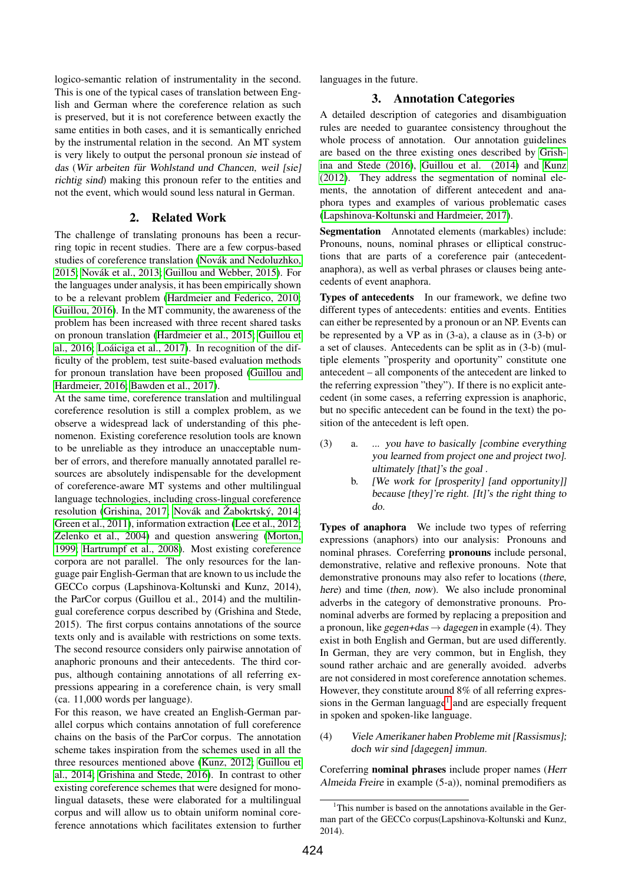logico-semantic relation of instrumentality in the second. This is one of the typical cases of translation between English and German where the coreference relation as such is preserved, but it is not coreference between exactly the same entities in both cases, and it is semantically enriched by the instrumental relation in the second. An MT system is very likely to output the personal pronoun sie instead of das (Wir arbeiten für Wohlstand und Chancen, weil [sie] richtig sind) making this pronoun refer to the entities and not the event, which would sound less natural in German.

#### 2. Related Work

The challenge of translating pronouns has been a recurring topic in recent studies. There are a few corpus-based studies of coreference translation (Novák and Nedoluzhko, [2015;](#page-5-2) [Novak et al., 2013;](#page-5-3) [Guillou and Webber, 2015\)](#page-4-0). For ´ the languages under analysis, it has been empirically shown to be a relevant problem [\(Hardmeier and Federico, 2010;](#page-4-1) [Guillou, 2016\)](#page-4-2). In the MT community, the awareness of the problem has been increased with three recent shared tasks on pronoun translation [\(Hardmeier et al., 2015;](#page-4-3) [Guillou et](#page-4-4) [al., 2016;](#page-4-4) Loáiciga et al., 2017). In recognition of the difficulty of the problem, test suite-based evaluation methods for pronoun translation have been proposed [\(Guillou and](#page-4-5) [Hardmeier, 2016;](#page-4-5) [Bawden et al., 2017\)](#page-4-6).

At the same time, coreference translation and multilingual coreference resolution is still a complex problem, as we observe a widespread lack of understanding of this phenomenon. Existing coreference resolution tools are known to be unreliable as they introduce an unacceptable number of errors, and therefore manually annotated parallel resources are absolutely indispensable for the development of coreference-aware MT systems and other multilingual language technologies, including cross-lingual coreference resolution [\(Grishina, 2017;](#page-4-7) Novák and Žabokrtský, 2014; [Green et al., 2011\)](#page-4-8), information extraction [\(Lee et al., 2012;](#page-5-6) [Zelenko et al., 2004\)](#page-5-7) and question answering [\(Morton,](#page-5-8) [1999;](#page-5-8) [Hartrumpf et al., 2008\)](#page-5-9). Most existing coreference corpora are not parallel. The only resources for the language pair English-German that are known to us include the GECCo corpus (Lapshinova-Koltunski and Kunz, 2014), the ParCor corpus (Guillou et al., 2014) and the multilingual coreference corpus described by (Grishina and Stede, 2015). The first corpus contains annotations of the source texts only and is available with restrictions on some texts. The second resource considers only pairwise annotation of anaphoric pronouns and their antecedents. The third corpus, although containing annotations of all referring expressions appearing in a coreference chain, is very small (ca. 11,000 words per language).

For this reason, we have created an English-German parallel corpus which contains annotation of full coreference chains on the basis of the ParCor corpus. The annotation scheme takes inspiration from the schemes used in all the three resources mentioned above [\(Kunz, 2012;](#page-5-10) [Guillou et](#page-4-9) [al., 2014;](#page-4-9) [Grishina and Stede, 2016\)](#page-4-10). In contrast to other existing coreference schemes that were designed for monolingual datasets, these were elaborated for a multilingual corpus and will allow us to obtain uniform nominal coreference annotations which facilitates extension to further languages in the future.

### 3. Annotation Categories

A detailed description of categories and disambiguation rules are needed to guarantee consistency throughout the whole process of annotation. Our annotation guidelines are based on the three existing ones described by [Grish](#page-4-10)[ina and Stede \(2016\)](#page-4-10), [Guillou et al. \(2014\)](#page-4-9) and [Kunz](#page-5-10) [\(2012\)](#page-5-10). They address the segmentation of nominal elements, the annotation of different antecedent and anaphora types and examples of various problematic cases [\(Lapshinova-Koltunski and Hardmeier, 2017\)](#page-5-11).

Segmentation Annotated elements (markables) include: Pronouns, nouns, nominal phrases or elliptical constructions that are parts of a coreference pair (antecedentanaphora), as well as verbal phrases or clauses being antecedents of event anaphora.

Types of antecedents In our framework, we define two different types of antecedents: entities and events. Entities can either be represented by a pronoun or an NP. Events can be represented by a VP as in (3-a), a clause as in (3-b) or a set of clauses. Antecedents can be split as in (3-b) (multiple elements "prosperity and oportunity" constitute one antecedent – all components of the antecedent are linked to the referring expression "they"). If there is no explicit antecedent (in some cases, a referring expression is anaphoric, but no specific antecedent can be found in the text) the position of the antecedent is left open.

- (3) a. ... you have to basically [combine everything you learned from project one and project two]. ultimately [that]'s the goal .
	- b. [We work for [prosperity] [and opportunity]] because [they]'re right. [It]'s the right thing to do.

Types of anaphora We include two types of referring expressions (anaphors) into our analysis: Pronouns and nominal phrases. Coreferring pronouns include personal, demonstrative, relative and reflexive pronouns. Note that demonstrative pronouns may also refer to locations (there, here) and time (then, now). We also include pronominal adverbs in the category of demonstrative pronouns. Pronominal adverbs are formed by replacing a preposition and a pronoun, like gegen+das  $\rightarrow$  dagegen in example (4). They exist in both English and German, but are used differently. In German, they are very common, but in English, they sound rather archaic and are generally avoided. adverbs are not considered in most coreference annotation schemes. However, they constitute around 8% of all referring expres-sions in the German language<sup>[1](#page-1-0)</sup> and are especially frequent in spoken and spoken-like language.

(4) Viele Amerikaner haben Probleme mit [Rassismus]; doch wir sind [dagegen] immun.

Coreferring nominal phrases include proper names (Herr Almeida Freire in example (5-a)), nominal premodifiers as

<span id="page-1-0"></span> $1$ This number is based on the annotations available in the German part of the GECCo corpus(Lapshinova-Koltunski and Kunz, 2014).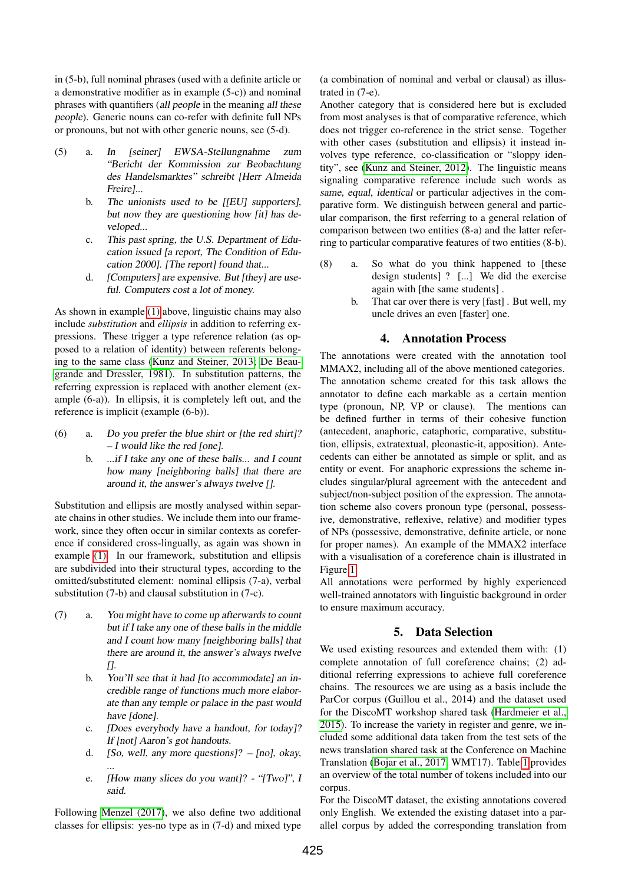in (5-b), full nominal phrases (used with a definite article or a demonstrative modifier as in example (5-c)) and nominal phrases with quantifiers (all people in the meaning all these people). Generic nouns can co-refer with definite full NPs or pronouns, but not with other generic nouns, see (5-d).

- (5) a. In [seiner] EWSA-Stellungnahme zum "Bericht der Kommission zur Beobachtung des Handelsmarktes" schreibt [Herr Almeida Freire]...
	- b. The unionists used to be [[EU] supporters], but now they are questioning how [it] has developed...
	- c. This past spring, the U.S. Department of Education issued [a report, The Condition of Education 2000]. [The report] found that...
	- d. [Computers] are expensive. But [they] are useful. Computers cost a lot of money.

As shown in example [\(1\)](#page-0-0) above, linguistic chains may also include *substitution* and *ellipsis* in addition to referring expressions. These trigger a type reference relation (as opposed to a relation of identity) between referents belonging to the same class [\(Kunz and Steiner, 2013;](#page-5-12) [De Beau](#page-4-11)[grande and Dressler, 1981\)](#page-4-11). In substitution patterns, the referring expression is replaced with another element (example (6-a)). In ellipsis, it is completely left out, and the reference is implicit (example (6-b)).

- (6) a. Do you prefer the blue shirt or [the red shirt]?  $-I$  would like the red [one].
	- b. ...if I take any one of these balls... and I count how many [neighboring balls] that there are around it, the answer's always twelve [].

Substitution and ellipsis are mostly analysed within separate chains in other studies. We include them into our framework, since they often occur in similar contexts as coreference if considered cross-lingually, as again was shown in example [\(1\).](#page-0-0) In our framework, substitution and ellipsis are subdivided into their structural types, according to the omitted/substituted element: nominal ellipsis (7-a), verbal substitution (7-b) and clausal substitution in (7-c).

- (7) a. You might have to come up afterwards to count but if I take any one of these balls in the middle and I count how many [neighboring balls] that there are around it, the answer's always twelve  $\prod$ .
	- b. You'll see that it had [to accommodate] an incredible range of functions much more elaborate than any temple or palace in the past would have [done].
	- c. [Does everybody have a handout, for today]? If [not] Aaron's got handouts.
	- d. [So, well, any more questions]?  $[no]$ , okay, ...
	- e. [How many slices do you want]? "[Two]", I said.

Following [Menzel \(2017\)](#page-5-13), we also define two additional classes for ellipsis: yes-no type as in (7-d) and mixed type (a combination of nominal and verbal or clausal) as illustrated in (7-e).

Another category that is considered here but is excluded from most analyses is that of comparative reference, which does not trigger co-reference in the strict sense. Together with other cases (substitution and ellipsis) it instead involves type reference, co-classification or "sloppy identity", see [\(Kunz and Steiner, 2012\)](#page-5-0). The linguistic means signaling comparative reference include such words as same, equal, identical or particular adjectives in the comparative form. We distinguish between general and particular comparison, the first referring to a general relation of comparison between two entities (8-a) and the latter referring to particular comparative features of two entities (8-b).

- (8) a. So what do you think happened to [these design students] ? [...] We did the exercise again with [the same students] .
	- b. That car over there is very [fast] . But well, my uncle drives an even [faster] one.

### 4. Annotation Process

The annotations were created with the annotation tool MMAX2, including all of the above mentioned categories. The annotation scheme created for this task allows the annotator to define each markable as a certain mention type (pronoun, NP, VP or clause). The mentions can be defined further in terms of their cohesive function (antecedent, anaphoric, cataphoric, comparative, substitution, ellipsis, extratextual, pleonastic-it, apposition). Antecedents can either be annotated as simple or split, and as entity or event. For anaphoric expressions the scheme includes singular/plural agreement with the antecedent and subject/non-subject position of the expression. The annotation scheme also covers pronoun type (personal, possessive, demonstrative, reflexive, relative) and modifier types of NPs (possessive, demonstrative, definite article, or none for proper names). An example of the MMAX2 interface with a visualisation of a coreference chain is illustrated in Figure [1.](#page-3-0)

All annotations were performed by highly experienced well-trained annotators with linguistic background in order to ensure maximum accuracy.

# 5. Data Selection

We used existing resources and extended them with: (1) complete annotation of full coreference chains; (2) additional referring expressions to achieve full coreference chains. The resources we are using as a basis include the ParCor corpus (Guillou et al., 2014) and the dataset used for the DiscoMT workshop shared task [\(Hardmeier et al.,](#page-4-3) [2015\)](#page-4-3). To increase the variety in register and genre, we included some additional data taken from the test sets of the news translation shared task at the Conference on Machine Translation [\(Bojar et al., 2017,](#page-4-12) WMT17). Table [1](#page-3-1) provides an overview of the total number of tokens included into our corpus.

For the DiscoMT dataset, the existing annotations covered only English. We extended the existing dataset into a parallel corpus by added the corresponding translation from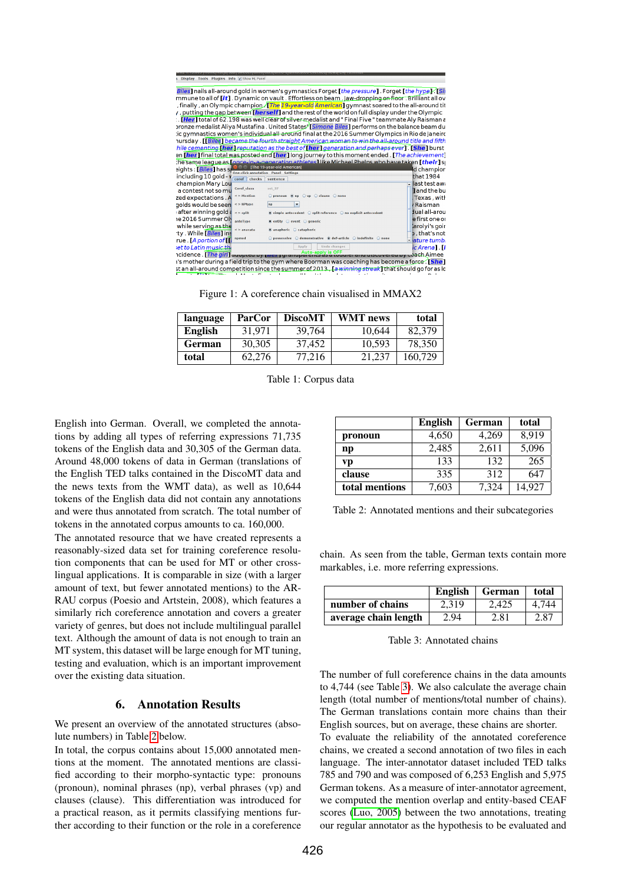| Display Tools Plugins Info V Show ML Panel                                                        |                                                                                                                   |                    |  |
|---------------------------------------------------------------------------------------------------|-------------------------------------------------------------------------------------------------------------------|--------------------|--|
|                                                                                                   |                                                                                                                   |                    |  |
|                                                                                                   | Biles] nails all-around gold in women's gymnastics Forget [the pressure] . Forget [the hype]. [Sir                |                    |  |
|                                                                                                   | mmune to all of <b>[it]</b> . Dynamic on vault . Effortless on beam . Jaw-dropping on floor . Brilliant all ov    |                    |  |
|                                                                                                   | , finally , an Olympic champion./ <b>[<i>The 19-year-old American</i>]</b> gymnast soared to the all-around tit   |                    |  |
|                                                                                                   | , putting the gap between <b>[herself]</b> and the rest of the world on full display under the Olympic            |                    |  |
|                                                                                                   | . [ <mark>Her]</mark> total of 62.198 was well clear of silver medalist and " Final Five " teammate Aly Raisman a |                    |  |
|                                                                                                   | pronze medalist Aliya Mustafina . United States <sup>y</sup> [Simone Biles] performs on the balance beam du       |                    |  |
|                                                                                                   | ic gymnastics women's individual all-around final at the 2016 Summer Olympics in Rio de Janeiro:                  |                    |  |
|                                                                                                   | nursday. [Biles] became the fourth straight American woman to win the all-around title and fifth                  |                    |  |
|                                                                                                   | hile cementing ther reputation as the best of ther generation and perhaps ever [[She] burst                       |                    |  |
|                                                                                                   | an [her] final total was posted and [her] long journey to this moment ended [The achievement]                     |                    |  |
|                                                                                                   | The same league as <i>Lonce-in-a-generation athletes</i> Llike Michael Phelns who have taken [their] sp           |                    |  |
| eights : [Biles] has si                                                                           | The 19-year-old American]                                                                                         | d champior         |  |
| including 10 gold v                                                                               | <b>One-click annotation</b> Panel Settings                                                                        | that 1984          |  |
| coref  <br>checks<br>champion Mary Lou                                                            | sentence                                                                                                          | last test awi      |  |
| Coref class<br>a contest not so mu                                                                | set 37                                                                                                            | <b>Jand the bu</b> |  |
| $\leq$ > Mention<br>zed expectations . A                                                          | ○ pronoun ® np ○ vp ○ clause ○ none                                                                               | Texas, with        |  |
| golds would be seen<br>$<$ > NPtype                                                               | np<br>٠                                                                                                           | / Raisman          |  |
| after winning gold a<br>$\leq$ > split                                                            | $\circ$ simple antecedent $\circ$ split reference $\circ$ no explicit antecedent                                  | dual all-arou      |  |
| e 2016 Summer Oly                                                                                 |                                                                                                                   | e first one or     |  |
| anteType<br>while serving as the                                                                  | $\bullet$ entity $\circ$ event $\circ$ generic                                                                    | larolyi's goir     |  |
| $\leq$ > anacata<br>ty . While [Biles] ins                                                        | anaphoric C cataphoric                                                                                            | b, that's not      |  |
| npmod<br>rue [A portion of [1]                                                                    | ○ possessive ○ demonstrative · @ def-article ○ indefinite ○ none                                                  | - ature tumb       |  |
| et to Latin music the                                                                             | <b>Undo changes</b><br>Apply                                                                                      | ic Arena] [J       |  |
|                                                                                                   |                                                                                                                   |                    |  |
| Icidence. The girl] auppeu by the right and Auto-apply is OFF colour and discussed by coach Aimee |                                                                                                                   |                    |  |
| i's mother during a field trip to the gym where Boorman was coaching has become a force. [She]    |                                                                                                                   |                    |  |

st an all-around competition since the summer of 2013. La winning streak I that should go for as lo

<span id="page-3-0"></span>Figure 1: A coreference chain visualised in MMAX2

| language       | ParCor | <b>DiscoMT</b> | <b>WMT</b> news | total   |
|----------------|--------|----------------|-----------------|---------|
| <b>English</b> | 31.971 | 39.764         | 10.644          | 82,379  |
| German         | 30,305 | 37.452         | 10.593          | 78,350  |
| total          | 62,276 | 77.216         | 21.237          | 160,729 |

<span id="page-3-1"></span>Table 1: Corpus data

English into German. Overall, we completed the annotations by adding all types of referring expressions 71,735 tokens of the English data and 30,305 of the German data. Around 48,000 tokens of data in German (translations of the English TED talks contained in the DiscoMT data and the news texts from the WMT data), as well as 10,644 tokens of the English data did not contain any annotations and were thus annotated from scratch. The total number of tokens in the annotated corpus amounts to ca. 160,000.

The annotated resource that we have created represents a reasonably-sized data set for training coreference resolution components that can be used for MT or other crosslingual applications. It is comparable in size (with a larger amount of text, but fewer annotated mentions) to the AR-RAU corpus (Poesio and Artstein, 2008), which features a similarly rich coreference annotation and covers a greater variety of genres, but does not include multilingual parallel text. Although the amount of data is not enough to train an MT system, this dataset will be large enough for MT tuning, testing and evaluation, which is an important improvement over the existing data situation.

#### 6. Annotation Results

We present an overview of the annotated structures (absolute numbers) in Table [2](#page-3-2) below.

In total, the corpus contains about 15,000 annotated mentions at the moment. The annotated mentions are classified according to their morpho-syntactic type: pronouns (pronoun), nominal phrases (np), verbal phrases (vp) and clauses (clause). This differentiation was introduced for a practical reason, as it permits classifying mentions further according to their function or the role in a coreference

|                | <b>English</b> | German | total  |
|----------------|----------------|--------|--------|
| pronoun        | 4,650          | 4,269  | 8,919  |
| $\mathbf{np}$  | 2,485          | 2,611  | 5,096  |
| vp             | 133            | 132    | 265    |
| clause         | 335            | 312    | 647    |
| total mentions | 7,603          | 7,324  | 14.927 |

<span id="page-3-2"></span>Table 2: Annotated mentions and their subcategories

chain. As seen from the table, German texts contain more markables, i.e. more referring expressions.

|                      | English | German | total |
|----------------------|---------|--------|-------|
| number of chains     | 2.319   | 2.425  | 4.744 |
| average chain length | 2.94    | 2.81   | 2.87  |

<span id="page-3-3"></span>Table 3: Annotated chains

The number of full coreference chains in the data amounts to 4,744 (see Table [3\)](#page-3-3). We also calculate the average chain length (total number of mentions/total number of chains). The German translations contain more chains than their English sources, but on average, these chains are shorter. To evaluate the reliability of the annotated coreference chains, we created a second annotation of two files in each language. The inter-annotator dataset included TED talks 785 and 790 and was composed of 6,253 English and 5,975 German tokens. As a measure of inter-annotator agreement, we computed the mention overlap and entity-based CEAF scores [\(Luo, 2005\)](#page-5-14) between the two annotations, treating our regular annotator as the hypothesis to be evaluated and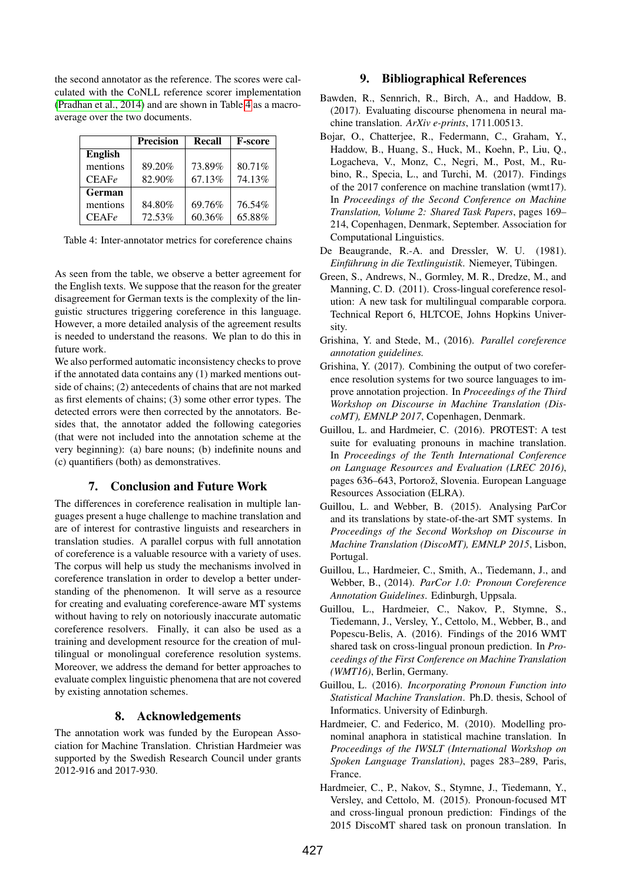the second annotator as the reference. The scores were calculated with the CoNLL reference scorer implementation [\(Pradhan et al., 2014\)](#page-5-15) and are shown in Table [4](#page-4-13) as a macroaverage over the two documents.

|               | <b>Precision</b> | Recall | <b>F-score</b> |
|---------------|------------------|--------|----------------|
| English       |                  |        |                |
| mentions      | 89.20%           | 73.89% | 80.71%         |
| CEAFe         | 82.90%           | 67.13% | 74.13%         |
| <b>German</b> |                  |        |                |
| mentions      | 84.80%           | 69.76% | 76.54%         |
| CEAFe         | 72.53%           | 60.36% | 65.88%         |

<span id="page-4-13"></span>Table 4: Inter-annotator metrics for coreference chains

As seen from the table, we observe a better agreement for the English texts. We suppose that the reason for the greater disagreement for German texts is the complexity of the linguistic structures triggering coreference in this language. However, a more detailed analysis of the agreement results is needed to understand the reasons. We plan to do this in future work.

We also performed automatic inconsistency checks to prove if the annotated data contains any (1) marked mentions outside of chains; (2) antecedents of chains that are not marked as first elements of chains; (3) some other error types. The detected errors were then corrected by the annotators. Besides that, the annotator added the following categories (that were not included into the annotation scheme at the very beginning): (a) bare nouns; (b) indefinite nouns and (c) quantifiers (both) as demonstratives.

# 7. Conclusion and Future Work

The differences in coreference realisation in multiple languages present a huge challenge to machine translation and are of interest for contrastive linguists and researchers in translation studies. A parallel corpus with full annotation of coreference is a valuable resource with a variety of uses. The corpus will help us study the mechanisms involved in coreference translation in order to develop a better understanding of the phenomenon. It will serve as a resource for creating and evaluating coreference-aware MT systems without having to rely on notoriously inaccurate automatic coreference resolvers. Finally, it can also be used as a training and development resource for the creation of multilingual or monolingual coreference resolution systems. Moreover, we address the demand for better approaches to evaluate complex linguistic phenomena that are not covered by existing annotation schemes.

# 8. Acknowledgements

The annotation work was funded by the European Association for Machine Translation. Christian Hardmeier was supported by the Swedish Research Council under grants 2012-916 and 2017-930.

# 9. Bibliographical References

- <span id="page-4-6"></span>Bawden, R., Sennrich, R., Birch, A., and Haddow, B. (2017). Evaluating discourse phenomena in neural machine translation. *ArXiv e-prints*, 1711.00513.
- <span id="page-4-12"></span>Bojar, O., Chatterjee, R., Federmann, C., Graham, Y., Haddow, B., Huang, S., Huck, M., Koehn, P., Liu, Q., Logacheva, V., Monz, C., Negri, M., Post, M., Rubino, R., Specia, L., and Turchi, M. (2017). Findings of the 2017 conference on machine translation (wmt17). In *Proceedings of the Second Conference on Machine Translation, Volume 2: Shared Task Papers*, pages 169– 214, Copenhagen, Denmark, September. Association for Computational Linguistics.
- <span id="page-4-11"></span>De Beaugrande, R.-A. and Dressler, W. U. (1981). *Einführung in die Textlinguistik*. Niemeyer, Tübingen.
- <span id="page-4-8"></span>Green, S., Andrews, N., Gormley, M. R., Dredze, M., and Manning, C. D. (2011). Cross-lingual coreference resolution: A new task for multilingual comparable corpora. Technical Report 6, HLTCOE, Johns Hopkins University.
- <span id="page-4-10"></span>Grishina, Y. and Stede, M., (2016). *Parallel coreference annotation guidelines.*
- <span id="page-4-7"></span>Grishina, Y. (2017). Combining the output of two coreference resolution systems for two source languages to improve annotation projection. In *Proceedings of the Third Workshop on Discourse in Machine Translation (DiscoMT), EMNLP 2017*, Copenhagen, Denmark.
- <span id="page-4-5"></span>Guillou, L. and Hardmeier, C. (2016). PROTEST: A test suite for evaluating pronouns in machine translation. In *Proceedings of the Tenth International Conference on Language Resources and Evaluation (LREC 2016)*, pages 636–643, Portorož, Slovenia. European Language Resources Association (ELRA).
- <span id="page-4-0"></span>Guillou, L. and Webber, B. (2015). Analysing ParCor and its translations by state-of-the-art SMT systems. In *Proceedings of the Second Workshop on Discourse in Machine Translation (DiscoMT), EMNLP 2015*, Lisbon, Portugal.
- <span id="page-4-9"></span>Guillou, L., Hardmeier, C., Smith, A., Tiedemann, J., and Webber, B., (2014). *ParCor 1.0: Pronoun Coreference Annotation Guidelines*. Edinburgh, Uppsala.
- <span id="page-4-4"></span>Guillou, L., Hardmeier, C., Nakov, P., Stymne, S., Tiedemann, J., Versley, Y., Cettolo, M., Webber, B., and Popescu-Belis, A. (2016). Findings of the 2016 WMT shared task on cross-lingual pronoun prediction. In *Proceedings of the First Conference on Machine Translation (WMT16)*, Berlin, Germany.
- <span id="page-4-2"></span>Guillou, L. (2016). *Incorporating Pronoun Function into Statistical Machine Translation*. Ph.D. thesis, School of Informatics. University of Edinburgh.
- <span id="page-4-1"></span>Hardmeier, C. and Federico, M. (2010). Modelling pronominal anaphora in statistical machine translation. In *Proceedings of the IWSLT (International Workshop on Spoken Language Translation)*, pages 283–289, Paris, France.
- <span id="page-4-3"></span>Hardmeier, C., P., Nakov, S., Stymne, J., Tiedemann, Y., Versley, and Cettolo, M. (2015). Pronoun-focused MT and cross-lingual pronoun prediction: Findings of the 2015 DiscoMT shared task on pronoun translation. In